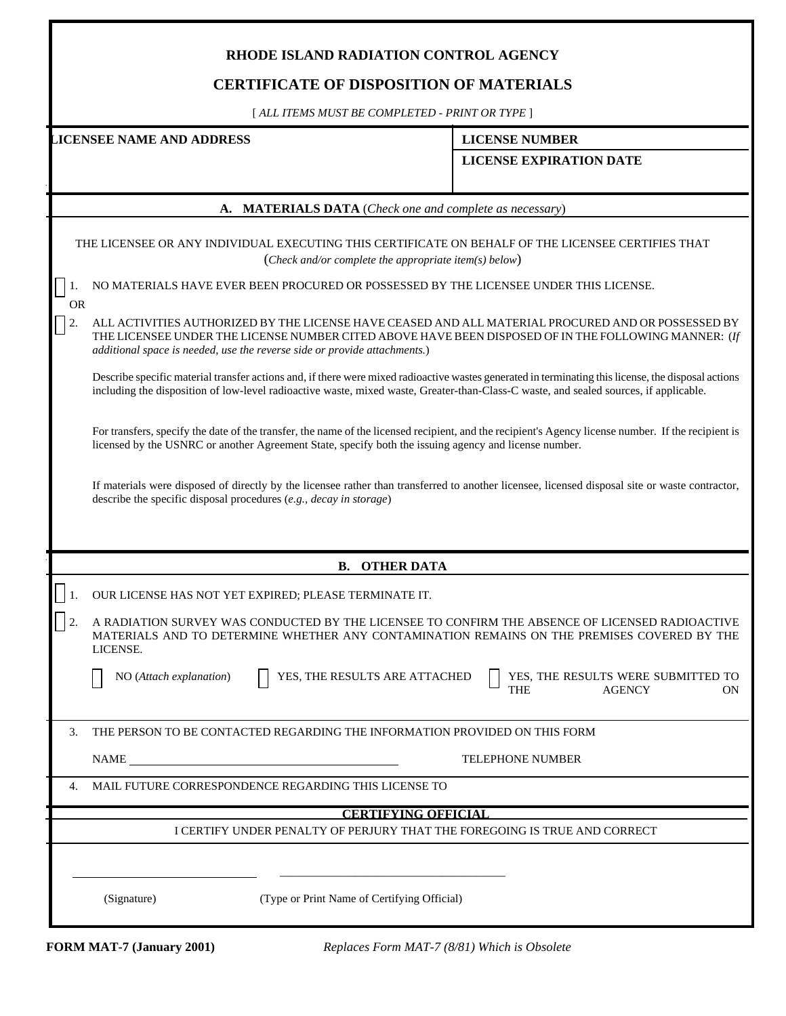## **RHODE ISLAND RADIATION CONTROL AGENCY**

## **CERTIFICATE OF DISPOSITION OF MATERIALS**

[ *ALL ITEMS MUST BE COMPLETED - PRINT OR TYPE* ]

**LICENSEE NAME AND ADDRESS LICENSE NUMBER**

**LICENSE EXPIRATION DATE** 

|                                                                                                                                                             | A. MATERIALS DATA (Check one and complete as necessary)                                                                                                                                                                                                                                      |
|-------------------------------------------------------------------------------------------------------------------------------------------------------------|----------------------------------------------------------------------------------------------------------------------------------------------------------------------------------------------------------------------------------------------------------------------------------------------|
| THE LICENSEE OR ANY INDIVIDUAL EXECUTING THIS CERTIFICATE ON BEHALF OF THE LICENSEE CERTIFIES THAT<br>(Check and/or complete the appropriate item(s) below) |                                                                                                                                                                                                                                                                                              |
| <b>OR</b>                                                                                                                                                   | NO MATERIALS HAVE EVER BEEN PROCURED OR POSSESSED BY THE LICENSEE UNDER THIS LICENSE.                                                                                                                                                                                                        |
| 2.                                                                                                                                                          | ALL ACTIVITIES AUTHORIZED BY THE LICENSE HAVE CEASED AND ALL MATERIAL PROCURED AND OR POSSESSED BY<br>THE LICENSEE UNDER THE LICENSE NUMBER CITED ABOVE HAVE BEEN DISPOSED OF IN THE FOLLOWING MANNER: (If<br>additional space is needed, use the reverse side or provide attachments.)      |
|                                                                                                                                                             | Describe specific material transfer actions and, if there were mixed radioactive wastes generated in terminating this license, the disposal actions<br>including the disposition of low-level radioactive waste, mixed waste, Greater-than-Class-C waste, and sealed sources, if applicable. |
|                                                                                                                                                             | For transfers, specify the date of the transfer, the name of the licensed recipient, and the recipient's Agency license number. If the recipient is<br>licensed by the USNRC or another Agreement State, specify both the issuing agency and license number.                                 |
|                                                                                                                                                             | If materials were disposed of directly by the licensee rather than transferred to another licensee, licensed disposal site or waste contractor,<br>describe the specific disposal procedures (e.g., decay in storage)                                                                        |
|                                                                                                                                                             |                                                                                                                                                                                                                                                                                              |
|                                                                                                                                                             | <b>B. OTHER DATA</b>                                                                                                                                                                                                                                                                         |
|                                                                                                                                                             | OUR LICENSE HAS NOT YET EXPIRED; PLEASE TERMINATE IT.                                                                                                                                                                                                                                        |
|                                                                                                                                                             | A RADIATION SURVEY WAS CONDUCTED BY THE LICENSEE TO CONFIRM THE ABSENCE OF LICENSED RADIOACTIVE<br>MATERIALS AND TO DETERMINE WHETHER ANY CONTAMINATION REMAINS ON THE PREMISES COVERED BY THE<br>LICENSE.                                                                                   |
|                                                                                                                                                             | YES, THE RESULTS ARE ATTACHED<br>YES, THE RESULTS WERE SUBMITTED TO<br>NO (Attach explanation)<br><b>THE</b><br><b>AGENCY</b><br>0N                                                                                                                                                          |
| 3.                                                                                                                                                          | THE PERSON TO BE CONTACTED REGARDING THE INFORMATION PROVIDED ON THIS FORM                                                                                                                                                                                                                   |
|                                                                                                                                                             | <b>NAME</b><br>TELEPHONE NUMBER                                                                                                                                                                                                                                                              |
| 4.                                                                                                                                                          | MAIL FUTURE CORRESPONDENCE REGARDING THIS LICENSE TO                                                                                                                                                                                                                                         |
|                                                                                                                                                             | <b>CERTIFYING OFFICIAL</b>                                                                                                                                                                                                                                                                   |
|                                                                                                                                                             | I CERTIFY UNDER PENALTY OF PERJURY THAT THE FOREGOING IS TRUE AND CORRECT                                                                                                                                                                                                                    |
|                                                                                                                                                             |                                                                                                                                                                                                                                                                                              |
|                                                                                                                                                             | (Type or Print Name of Certifying Official)<br>(Signature)                                                                                                                                                                                                                                   |
|                                                                                                                                                             |                                                                                                                                                                                                                                                                                              |